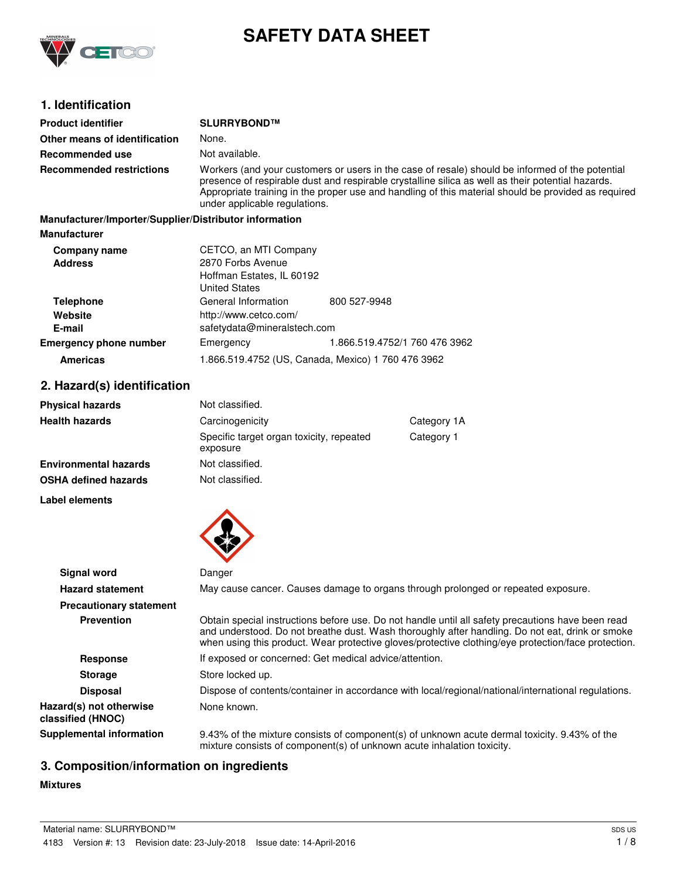

# **SAFETY DATA SHEET**

# **1. Identification**

| <b>Product identifier</b>                              | SLURRYBOND™                                                                                                                                                                                                                                                                                                                                  |                                                    |  |
|--------------------------------------------------------|----------------------------------------------------------------------------------------------------------------------------------------------------------------------------------------------------------------------------------------------------------------------------------------------------------------------------------------------|----------------------------------------------------|--|
| Other means of identification                          | None.                                                                                                                                                                                                                                                                                                                                        |                                                    |  |
| Recommended use                                        | Not available.                                                                                                                                                                                                                                                                                                                               |                                                    |  |
| <b>Recommended restrictions</b>                        | Workers (and your customers or users in the case of resale) should be informed of the potential<br>presence of respirable dust and respirable crystalline silica as well as their potential hazards.<br>Appropriate training in the proper use and handling of this material should be provided as required<br>under applicable regulations. |                                                    |  |
| Manufacturer/Importer/Supplier/Distributor information |                                                                                                                                                                                                                                                                                                                                              |                                                    |  |
| <b>Manufacturer</b>                                    |                                                                                                                                                                                                                                                                                                                                              |                                                    |  |
| Company name                                           | CETCO, an MTI Company                                                                                                                                                                                                                                                                                                                        |                                                    |  |
| <b>Address</b>                                         | 2870 Forbs Avenue                                                                                                                                                                                                                                                                                                                            |                                                    |  |
|                                                        | Hoffman Estates, IL 60192<br><b>United States</b>                                                                                                                                                                                                                                                                                            |                                                    |  |
| <b>Telephone</b>                                       | General Information                                                                                                                                                                                                                                                                                                                          | 800 527-9948                                       |  |
| Website                                                | http://www.cetco.com/                                                                                                                                                                                                                                                                                                                        |                                                    |  |
| E-mail                                                 | safetydata@mineralstech.com                                                                                                                                                                                                                                                                                                                  |                                                    |  |
| <b>Emergency phone number</b>                          | Emergency                                                                                                                                                                                                                                                                                                                                    | 1.866.519.4752/1 760 476 3962                      |  |
| <b>Americas</b>                                        |                                                                                                                                                                                                                                                                                                                                              | 1.866.519.4752 (US, Canada, Mexico) 1 760 476 3962 |  |
| 2. Hazard(s) identification                            |                                                                                                                                                                                                                                                                                                                                              |                                                    |  |

| <b>Physical hazards</b>      | Not classified.                                      |             |
|------------------------------|------------------------------------------------------|-------------|
| <b>Health hazards</b>        | Carcinogenicity                                      | Category 1A |
|                              | Specific target organ toxicity, repeated<br>exposure | Category 1  |
| <b>Environmental hazards</b> | Not classified.                                      |             |
| <b>OSHA defined hazards</b>  | Not classified.                                      |             |

**Label elements**



| Signal word                                  | Danger                                                                                                                                                                                                                                                                                                      |
|----------------------------------------------|-------------------------------------------------------------------------------------------------------------------------------------------------------------------------------------------------------------------------------------------------------------------------------------------------------------|
| <b>Hazard statement</b>                      | May cause cancer. Causes damage to organs through prolonged or repeated exposure.                                                                                                                                                                                                                           |
| <b>Precautionary statement</b>               |                                                                                                                                                                                                                                                                                                             |
| <b>Prevention</b>                            | Obtain special instructions before use. Do not handle until all safety precautions have been read<br>and understood. Do not breathe dust. Wash thoroughly after handling. Do not eat, drink or smoke<br>when using this product. Wear protective gloves/protective clothing/eye protection/face protection. |
| Response                                     | If exposed or concerned: Get medical advice/attention.                                                                                                                                                                                                                                                      |
| <b>Storage</b>                               | Store locked up.                                                                                                                                                                                                                                                                                            |
| <b>Disposal</b>                              | Dispose of contents/container in accordance with local/regional/national/international regulations.                                                                                                                                                                                                         |
| Hazard(s) not otherwise<br>classified (HNOC) | None known.                                                                                                                                                                                                                                                                                                 |
| <b>Supplemental information</b>              | 9.43% of the mixture consists of component(s) of unknown acute dermal toxicity. 9.43% of the<br>mixture consists of component(s) of unknown acute inhalation toxicity.                                                                                                                                      |

# **3. Composition/information on ingredients**

# **Mixtures**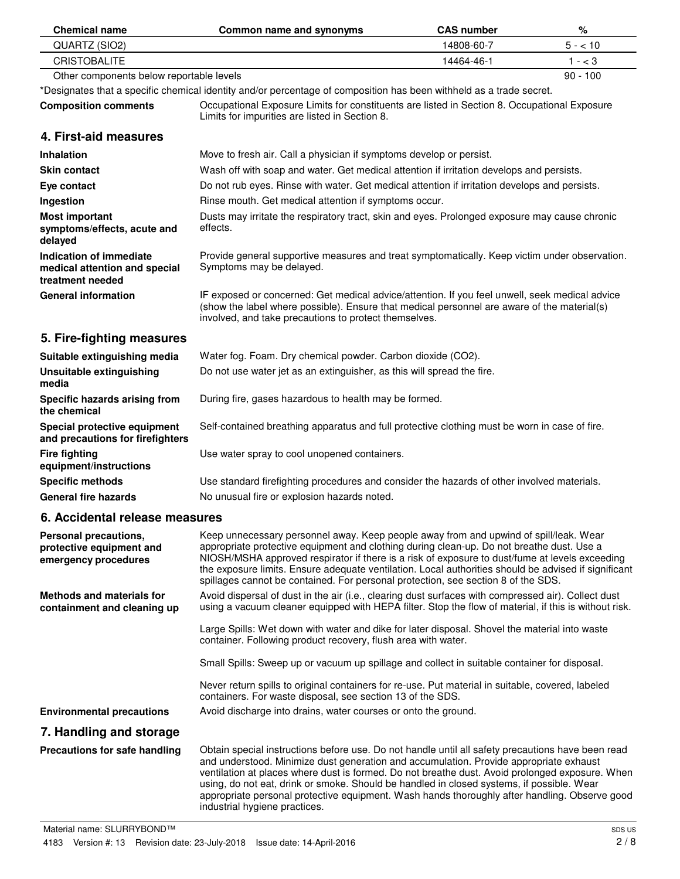| <b>Chemical name</b>                                                         | Common name and synonyms                                                                                                                                                                                                                                                                                                                                                                                                                                                                                                      | <b>CAS number</b> | %          |
|------------------------------------------------------------------------------|-------------------------------------------------------------------------------------------------------------------------------------------------------------------------------------------------------------------------------------------------------------------------------------------------------------------------------------------------------------------------------------------------------------------------------------------------------------------------------------------------------------------------------|-------------------|------------|
| QUARTZ (SIO2)                                                                |                                                                                                                                                                                                                                                                                                                                                                                                                                                                                                                               | 14808-60-7        | $5 - 10$   |
| <b>CRISTOBALITE</b>                                                          |                                                                                                                                                                                                                                                                                                                                                                                                                                                                                                                               | 14464-46-1        | $1 - < 3$  |
| Other components below reportable levels                                     |                                                                                                                                                                                                                                                                                                                                                                                                                                                                                                                               |                   | $90 - 100$ |
|                                                                              | *Designates that a specific chemical identity and/or percentage of composition has been withheld as a trade secret.                                                                                                                                                                                                                                                                                                                                                                                                           |                   |            |
| <b>Composition comments</b>                                                  | Occupational Exposure Limits for constituents are listed in Section 8. Occupational Exposure<br>Limits for impurities are listed in Section 8.                                                                                                                                                                                                                                                                                                                                                                                |                   |            |
| 4. First-aid measures                                                        |                                                                                                                                                                                                                                                                                                                                                                                                                                                                                                                               |                   |            |
| Inhalation                                                                   | Move to fresh air. Call a physician if symptoms develop or persist.                                                                                                                                                                                                                                                                                                                                                                                                                                                           |                   |            |
| <b>Skin contact</b>                                                          | Wash off with soap and water. Get medical attention if irritation develops and persists.                                                                                                                                                                                                                                                                                                                                                                                                                                      |                   |            |
| Eye contact                                                                  | Do not rub eyes. Rinse with water. Get medical attention if irritation develops and persists.                                                                                                                                                                                                                                                                                                                                                                                                                                 |                   |            |
| Ingestion                                                                    | Rinse mouth. Get medical attention if symptoms occur.                                                                                                                                                                                                                                                                                                                                                                                                                                                                         |                   |            |
| <b>Most important</b><br>symptoms/effects, acute and<br>delayed              | Dusts may irritate the respiratory tract, skin and eyes. Prolonged exposure may cause chronic<br>effects.                                                                                                                                                                                                                                                                                                                                                                                                                     |                   |            |
| Indication of immediate<br>medical attention and special<br>treatment needed | Provide general supportive measures and treat symptomatically. Keep victim under observation.<br>Symptoms may be delayed.                                                                                                                                                                                                                                                                                                                                                                                                     |                   |            |
| <b>General information</b>                                                   | IF exposed or concerned: Get medical advice/attention. If you feel unwell, seek medical advice<br>(show the label where possible). Ensure that medical personnel are aware of the material(s)<br>involved, and take precautions to protect themselves.                                                                                                                                                                                                                                                                        |                   |            |
| 5. Fire-fighting measures                                                    |                                                                                                                                                                                                                                                                                                                                                                                                                                                                                                                               |                   |            |
| Suitable extinguishing media                                                 | Water fog. Foam. Dry chemical powder. Carbon dioxide (CO2).                                                                                                                                                                                                                                                                                                                                                                                                                                                                   |                   |            |
| <b>Unsuitable extinguishing</b><br>media                                     | Do not use water jet as an extinguisher, as this will spread the fire.                                                                                                                                                                                                                                                                                                                                                                                                                                                        |                   |            |
| Specific hazards arising from<br>the chemical                                | During fire, gases hazardous to health may be formed.                                                                                                                                                                                                                                                                                                                                                                                                                                                                         |                   |            |
| Special protective equipment<br>and precautions for firefighters             | Self-contained breathing apparatus and full protective clothing must be worn in case of fire.                                                                                                                                                                                                                                                                                                                                                                                                                                 |                   |            |
| <b>Fire fighting</b><br>equipment/instructions                               | Use water spray to cool unopened containers.                                                                                                                                                                                                                                                                                                                                                                                                                                                                                  |                   |            |
| <b>Specific methods</b>                                                      | Use standard firefighting procedures and consider the hazards of other involved materials.                                                                                                                                                                                                                                                                                                                                                                                                                                    |                   |            |
| <b>General fire hazards</b>                                                  | No unusual fire or explosion hazards noted.                                                                                                                                                                                                                                                                                                                                                                                                                                                                                   |                   |            |
| 6. Accidental release measures                                               |                                                                                                                                                                                                                                                                                                                                                                                                                                                                                                                               |                   |            |
| Personal precautions,<br>protective equipment and<br>emergency procedures    | Keep unnecessary personnel away. Keep people away from and upwind of spill/leak. Wear<br>appropriate protective equipment and clothing during clean-up. Do not breathe dust. Use a<br>NIOSH/MSHA approved respirator if there is a risk of exposure to dust/fume at levels exceeding<br>the exposure limits. Ensure adequate ventilation. Local authorities should be advised if significant<br>spillages cannot be contained. For personal protection, see section 8 of the SDS.                                             |                   |            |
| Methods and materials for<br>containment and cleaning up                     | Avoid dispersal of dust in the air (i.e., clearing dust surfaces with compressed air). Collect dust<br>using a vacuum cleaner equipped with HEPA filter. Stop the flow of material, if this is without risk.                                                                                                                                                                                                                                                                                                                  |                   |            |
|                                                                              | Large Spills: Wet down with water and dike for later disposal. Shovel the material into waste<br>container. Following product recovery, flush area with water.                                                                                                                                                                                                                                                                                                                                                                |                   |            |
|                                                                              | Small Spills: Sweep up or vacuum up spillage and collect in suitable container for disposal.                                                                                                                                                                                                                                                                                                                                                                                                                                  |                   |            |
|                                                                              | Never return spills to original containers for re-use. Put material in suitable, covered, labeled<br>containers. For waste disposal, see section 13 of the SDS.                                                                                                                                                                                                                                                                                                                                                               |                   |            |
| <b>Environmental precautions</b>                                             | Avoid discharge into drains, water courses or onto the ground.                                                                                                                                                                                                                                                                                                                                                                                                                                                                |                   |            |
| 7. Handling and storage                                                      |                                                                                                                                                                                                                                                                                                                                                                                                                                                                                                                               |                   |            |
| Precautions for safe handling                                                | Obtain special instructions before use. Do not handle until all safety precautions have been read<br>and understood. Minimize dust generation and accumulation. Provide appropriate exhaust<br>ventilation at places where dust is formed. Do not breathe dust. Avoid prolonged exposure. When<br>using, do not eat, drink or smoke. Should be handled in closed systems, if possible. Wear<br>appropriate personal protective equipment. Wash hands thoroughly after handling. Observe good<br>industrial hygiene practices. |                   |            |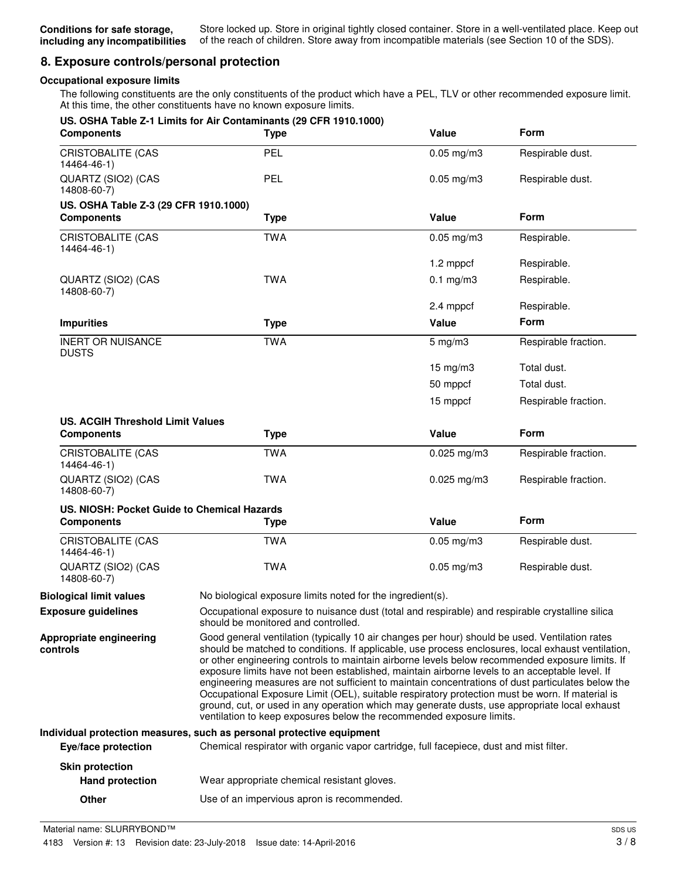# **8. Exposure controls/personal protection**

# **Occupational exposure limits**

The following constituents are the only constituents of the product which have a PEL, TLV or other recommended exposure limit. At this time, the other constituents have no known exposure limits.

| <b>Components</b>                                            | US. OSHA Table Z-1 Limits for Air Contaminants (29 CFR 1910.1000)<br><b>Type</b>                                                                                                                                                                                                                                                                                                                                                                                                                                                                                                                                                                                                                                                                                                           | Value              | <b>Form</b>          |
|--------------------------------------------------------------|--------------------------------------------------------------------------------------------------------------------------------------------------------------------------------------------------------------------------------------------------------------------------------------------------------------------------------------------------------------------------------------------------------------------------------------------------------------------------------------------------------------------------------------------------------------------------------------------------------------------------------------------------------------------------------------------------------------------------------------------------------------------------------------------|--------------------|----------------------|
| <b>CRISTOBALITE (CAS</b><br>14464-46-1)                      | PEL                                                                                                                                                                                                                                                                                                                                                                                                                                                                                                                                                                                                                                                                                                                                                                                        | $0.05$ mg/m $3$    | Respirable dust.     |
| QUARTZ (SIO2) (CAS<br>14808-60-7)                            | <b>PEL</b>                                                                                                                                                                                                                                                                                                                                                                                                                                                                                                                                                                                                                                                                                                                                                                                 | $0.05$ mg/m $3$    | Respirable dust.     |
| US. OSHA Table Z-3 (29 CFR 1910.1000)                        |                                                                                                                                                                                                                                                                                                                                                                                                                                                                                                                                                                                                                                                                                                                                                                                            |                    |                      |
| <b>Components</b>                                            | <b>Type</b>                                                                                                                                                                                                                                                                                                                                                                                                                                                                                                                                                                                                                                                                                                                                                                                | Value              | Form                 |
| <b>CRISTOBALITE (CAS</b><br>14464-46-1)                      | <b>TWA</b>                                                                                                                                                                                                                                                                                                                                                                                                                                                                                                                                                                                                                                                                                                                                                                                 | $0.05$ mg/m $3$    | Respirable.          |
|                                                              |                                                                                                                                                                                                                                                                                                                                                                                                                                                                                                                                                                                                                                                                                                                                                                                            | 1.2 mppcf          | Respirable.          |
| QUARTZ (SIO2) (CAS<br>14808-60-7)                            | <b>TWA</b>                                                                                                                                                                                                                                                                                                                                                                                                                                                                                                                                                                                                                                                                                                                                                                                 | $0.1$ mg/m $3$     | Respirable.          |
|                                                              |                                                                                                                                                                                                                                                                                                                                                                                                                                                                                                                                                                                                                                                                                                                                                                                            | 2.4 mppcf          | Respirable.          |
| <b>Impurities</b>                                            | <b>Type</b>                                                                                                                                                                                                                                                                                                                                                                                                                                                                                                                                                                                                                                                                                                                                                                                | Value              | Form                 |
| <b>INERT OR NUISANCE</b><br><b>DUSTS</b>                     | <b>TWA</b>                                                                                                                                                                                                                                                                                                                                                                                                                                                                                                                                                                                                                                                                                                                                                                                 | $5 \text{ mg/m}$ 3 | Respirable fraction. |
|                                                              |                                                                                                                                                                                                                                                                                                                                                                                                                                                                                                                                                                                                                                                                                                                                                                                            | $15 \text{ mg/m}$  | Total dust.          |
|                                                              |                                                                                                                                                                                                                                                                                                                                                                                                                                                                                                                                                                                                                                                                                                                                                                                            | 50 mppcf           | Total dust.          |
|                                                              |                                                                                                                                                                                                                                                                                                                                                                                                                                                                                                                                                                                                                                                                                                                                                                                            | 15 mppcf           | Respirable fraction. |
| <b>US. ACGIH Threshold Limit Values</b><br><b>Components</b> | <b>Type</b>                                                                                                                                                                                                                                                                                                                                                                                                                                                                                                                                                                                                                                                                                                                                                                                | Value              | <b>Form</b>          |
| <b>CRISTOBALITE (CAS</b><br>14464-46-1)                      | <b>TWA</b>                                                                                                                                                                                                                                                                                                                                                                                                                                                                                                                                                                                                                                                                                                                                                                                 | $0.025$ mg/m3      | Respirable fraction. |
| QUARTZ (SIO2) (CAS<br>14808-60-7)                            | <b>TWA</b>                                                                                                                                                                                                                                                                                                                                                                                                                                                                                                                                                                                                                                                                                                                                                                                 | $0.025$ mg/m3      | Respirable fraction. |
| US. NIOSH: Pocket Guide to Chemical Hazards                  |                                                                                                                                                                                                                                                                                                                                                                                                                                                                                                                                                                                                                                                                                                                                                                                            |                    |                      |
| <b>Components</b>                                            | <b>Type</b>                                                                                                                                                                                                                                                                                                                                                                                                                                                                                                                                                                                                                                                                                                                                                                                | Value              | Form                 |
| <b>CRISTOBALITE (CAS</b><br>14464-46-1)                      | <b>TWA</b>                                                                                                                                                                                                                                                                                                                                                                                                                                                                                                                                                                                                                                                                                                                                                                                 | $0.05$ mg/m3       | Respirable dust.     |
| QUARTZ (SIO2) (CAS<br>14808-60-7)                            | <b>TWA</b>                                                                                                                                                                                                                                                                                                                                                                                                                                                                                                                                                                                                                                                                                                                                                                                 | $0.05$ mg/m3       | Respirable dust.     |
| <b>Biological limit values</b>                               | No biological exposure limits noted for the ingredient(s).                                                                                                                                                                                                                                                                                                                                                                                                                                                                                                                                                                                                                                                                                                                                 |                    |                      |
| <b>Exposure guidelines</b>                                   | Occupational exposure to nuisance dust (total and respirable) and respirable crystalline silica<br>should be monitored and controlled.                                                                                                                                                                                                                                                                                                                                                                                                                                                                                                                                                                                                                                                     |                    |                      |
| Appropriate engineering<br>controls                          | Good general ventilation (typically 10 air changes per hour) should be used. Ventilation rates<br>should be matched to conditions. If applicable, use process enclosures, local exhaust ventilation,<br>or other engineering controls to maintain airborne levels below recommended exposure limits. If<br>exposure limits have not been established, maintain airborne levels to an acceptable level. If<br>engineering measures are not sufficient to maintain concentrations of dust particulates below the<br>Occupational Exposure Limit (OEL), suitable respiratory protection must be worn. If material is<br>ground, cut, or used in any operation which may generate dusts, use appropriate local exhaust<br>ventilation to keep exposures below the recommended exposure limits. |                    |                      |
|                                                              | Individual protection measures, such as personal protective equipment                                                                                                                                                                                                                                                                                                                                                                                                                                                                                                                                                                                                                                                                                                                      |                    |                      |
| Eye/face protection                                          | Chemical respirator with organic vapor cartridge, full facepiece, dust and mist filter.                                                                                                                                                                                                                                                                                                                                                                                                                                                                                                                                                                                                                                                                                                    |                    |                      |
| <b>Skin protection</b><br><b>Hand protection</b>             | Wear appropriate chemical resistant gloves.                                                                                                                                                                                                                                                                                                                                                                                                                                                                                                                                                                                                                                                                                                                                                |                    |                      |
| Other                                                        | Use of an impervious apron is recommended.                                                                                                                                                                                                                                                                                                                                                                                                                                                                                                                                                                                                                                                                                                                                                 |                    |                      |
|                                                              |                                                                                                                                                                                                                                                                                                                                                                                                                                                                                                                                                                                                                                                                                                                                                                                            |                    |                      |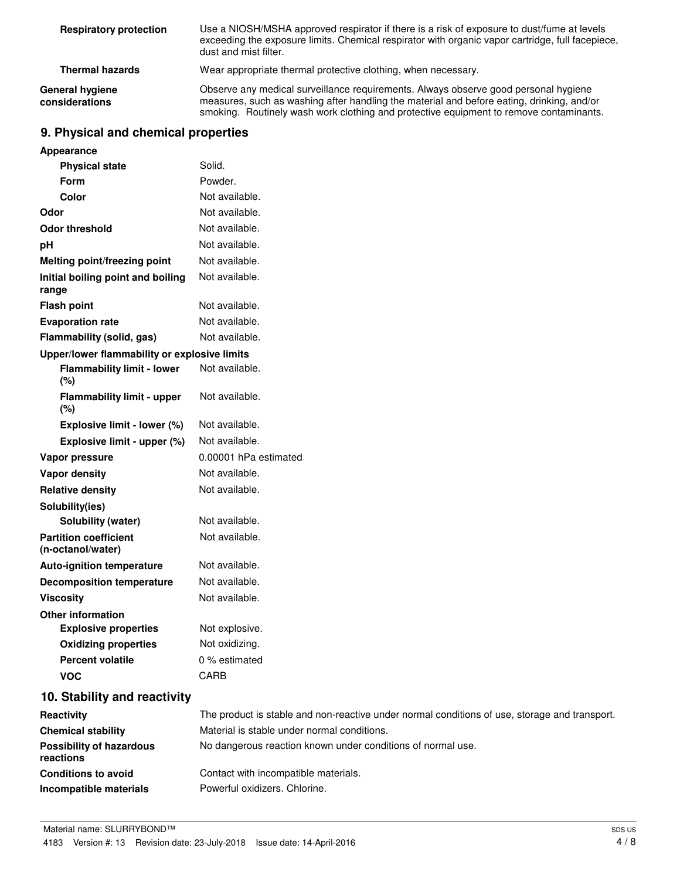| <b>Respiratory protection</b>     | Use a NIOSH/MSHA approved respirator if there is a risk of exposure to dust/fume at levels<br>exceeding the exposure limits. Chemical respirator with organic vapor cartridge, full facepiece,<br>dust and mist filter.                                                    |  |
|-----------------------------------|----------------------------------------------------------------------------------------------------------------------------------------------------------------------------------------------------------------------------------------------------------------------------|--|
| <b>Thermal hazards</b>            | Wear appropriate thermal protective clothing, when necessary.                                                                                                                                                                                                              |  |
| General hygiene<br>considerations | Observe any medical surveillance requirements. Always observe good personal hygiene<br>measures, such as washing after handling the material and before eating, drinking, and/or<br>smoking. Routinely wash work clothing and protective equipment to remove contaminants. |  |

# **9. Physical and chemical properties**

| <b>Appearance</b>                                 |                                                                                               |
|---------------------------------------------------|-----------------------------------------------------------------------------------------------|
| <b>Physical state</b>                             | Solid.                                                                                        |
| <b>Form</b>                                       | Powder.                                                                                       |
| Color                                             | Not available.                                                                                |
| Odor                                              | Not available.                                                                                |
| <b>Odor threshold</b>                             | Not available.                                                                                |
| рH                                                | Not available.                                                                                |
| <b>Melting point/freezing point</b>               | Not available.                                                                                |
| Initial boiling point and boiling<br>range        | Not available.                                                                                |
| <b>Flash point</b>                                | Not available.                                                                                |
| <b>Evaporation rate</b>                           | Not available.                                                                                |
| Flammability (solid, gas)                         | Not available.                                                                                |
| Upper/lower flammability or explosive limits      |                                                                                               |
| <b>Flammability limit - lower</b><br>$(\%)$       | Not available.                                                                                |
| <b>Flammability limit - upper</b><br>(%)          | Not available.                                                                                |
| Explosive limit - lower (%)                       | Not available.                                                                                |
| Explosive limit - upper (%)                       | Not available.                                                                                |
| Vapor pressure                                    | 0.00001 hPa estimated                                                                         |
| <b>Vapor density</b>                              | Not available.                                                                                |
| <b>Relative density</b>                           | Not available.                                                                                |
| Solubility(ies)                                   |                                                                                               |
| Solubility (water)                                | Not available.                                                                                |
| <b>Partition coefficient</b><br>(n-octanol/water) | Not available.                                                                                |
| Auto-ignition temperature                         | Not available.                                                                                |
| <b>Decomposition temperature</b>                  | Not available.                                                                                |
| <b>Viscosity</b>                                  | Not available.                                                                                |
| <b>Other information</b>                          |                                                                                               |
| <b>Explosive properties</b>                       | Not explosive.                                                                                |
| <b>Oxidizing properties</b>                       | Not oxidizing.                                                                                |
| <b>Percent volatile</b>                           | 0 % estimated                                                                                 |
| <b>VOC</b>                                        | CARB                                                                                          |
| 10. Stability and reactivity                      |                                                                                               |
| Reactivity                                        | The product is stable and non-reactive under normal conditions of use, storage and transport. |
| <b>Chemical stability</b>                         | Material is stable under normal conditions.                                                   |
| <b>Possibility of hazardous</b><br>reactions      | No dangerous reaction known under conditions of normal use.                                   |
| <b>Conditions to avoid</b>                        | Contact with incompatible materials.                                                          |
| Incompatible materials                            | Powerful oxidizers. Chlorine.                                                                 |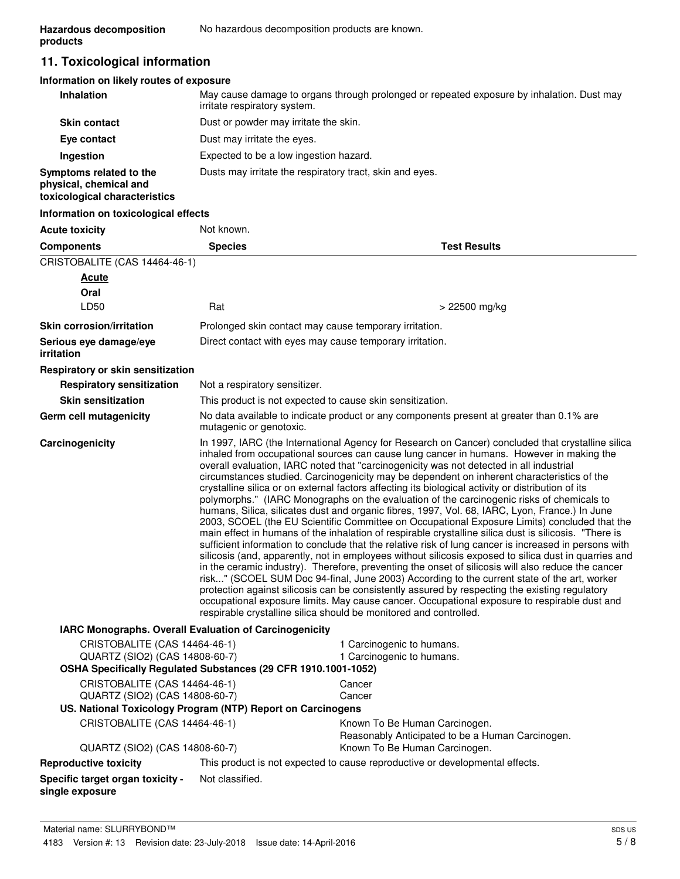# **11. Toxicological information**

# **Information on likely routes of exposure**

| Inhalation                                                                         | May cause damage to organs through prolonged or repeated exposure by inhalation. Dust may<br>irritate respiratory system. |
|------------------------------------------------------------------------------------|---------------------------------------------------------------------------------------------------------------------------|
| <b>Skin contact</b>                                                                | Dust or powder may irritate the skin.                                                                                     |
| Eye contact                                                                        | Dust may irritate the eyes.                                                                                               |
| Ingestion                                                                          | Expected to be a low ingestion hazard.                                                                                    |
| Symptoms related to the<br>physical, chemical and<br>toxicological characteristics | Dusts may irritate the respiratory tract, skin and eyes.                                                                  |

# **Information on toxicological effects**

| <b>Acute toxicity</b>                                                                                                             | Not known.                    |                                                                                                                                                                                                                                                                                                                                                                                                                                                                                                                                                                                                                                                                                                                                                                                                                                                                                                                                                                                                                                                                                                                                                                                                                                                                                                                                                                                                                                                                                                                                                                                                    |
|-----------------------------------------------------------------------------------------------------------------------------------|-------------------------------|----------------------------------------------------------------------------------------------------------------------------------------------------------------------------------------------------------------------------------------------------------------------------------------------------------------------------------------------------------------------------------------------------------------------------------------------------------------------------------------------------------------------------------------------------------------------------------------------------------------------------------------------------------------------------------------------------------------------------------------------------------------------------------------------------------------------------------------------------------------------------------------------------------------------------------------------------------------------------------------------------------------------------------------------------------------------------------------------------------------------------------------------------------------------------------------------------------------------------------------------------------------------------------------------------------------------------------------------------------------------------------------------------------------------------------------------------------------------------------------------------------------------------------------------------------------------------------------------------|
| <b>Components</b>                                                                                                                 | <b>Species</b>                | <b>Test Results</b>                                                                                                                                                                                                                                                                                                                                                                                                                                                                                                                                                                                                                                                                                                                                                                                                                                                                                                                                                                                                                                                                                                                                                                                                                                                                                                                                                                                                                                                                                                                                                                                |
| CRISTOBALITE (CAS 14464-46-1)                                                                                                     |                               |                                                                                                                                                                                                                                                                                                                                                                                                                                                                                                                                                                                                                                                                                                                                                                                                                                                                                                                                                                                                                                                                                                                                                                                                                                                                                                                                                                                                                                                                                                                                                                                                    |
| Acute                                                                                                                             |                               |                                                                                                                                                                                                                                                                                                                                                                                                                                                                                                                                                                                                                                                                                                                                                                                                                                                                                                                                                                                                                                                                                                                                                                                                                                                                                                                                                                                                                                                                                                                                                                                                    |
| Oral                                                                                                                              |                               |                                                                                                                                                                                                                                                                                                                                                                                                                                                                                                                                                                                                                                                                                                                                                                                                                                                                                                                                                                                                                                                                                                                                                                                                                                                                                                                                                                                                                                                                                                                                                                                                    |
| LD50                                                                                                                              | Rat                           | > 22500 mg/kg                                                                                                                                                                                                                                                                                                                                                                                                                                                                                                                                                                                                                                                                                                                                                                                                                                                                                                                                                                                                                                                                                                                                                                                                                                                                                                                                                                                                                                                                                                                                                                                      |
| <b>Skin corrosion/irritation</b>                                                                                                  |                               | Prolonged skin contact may cause temporary irritation.                                                                                                                                                                                                                                                                                                                                                                                                                                                                                                                                                                                                                                                                                                                                                                                                                                                                                                                                                                                                                                                                                                                                                                                                                                                                                                                                                                                                                                                                                                                                             |
| Serious eye damage/eye<br>irritation                                                                                              |                               | Direct contact with eyes may cause temporary irritation.                                                                                                                                                                                                                                                                                                                                                                                                                                                                                                                                                                                                                                                                                                                                                                                                                                                                                                                                                                                                                                                                                                                                                                                                                                                                                                                                                                                                                                                                                                                                           |
| Respiratory or skin sensitization                                                                                                 |                               |                                                                                                                                                                                                                                                                                                                                                                                                                                                                                                                                                                                                                                                                                                                                                                                                                                                                                                                                                                                                                                                                                                                                                                                                                                                                                                                                                                                                                                                                                                                                                                                                    |
| <b>Respiratory sensitization</b>                                                                                                  | Not a respiratory sensitizer. |                                                                                                                                                                                                                                                                                                                                                                                                                                                                                                                                                                                                                                                                                                                                                                                                                                                                                                                                                                                                                                                                                                                                                                                                                                                                                                                                                                                                                                                                                                                                                                                                    |
| <b>Skin sensitization</b>                                                                                                         |                               | This product is not expected to cause skin sensitization.                                                                                                                                                                                                                                                                                                                                                                                                                                                                                                                                                                                                                                                                                                                                                                                                                                                                                                                                                                                                                                                                                                                                                                                                                                                                                                                                                                                                                                                                                                                                          |
| Germ cell mutagenicity                                                                                                            | mutagenic or genotoxic.       | No data available to indicate product or any components present at greater than 0.1% are                                                                                                                                                                                                                                                                                                                                                                                                                                                                                                                                                                                                                                                                                                                                                                                                                                                                                                                                                                                                                                                                                                                                                                                                                                                                                                                                                                                                                                                                                                           |
| Carcinogenicity                                                                                                                   |                               | In 1997, IARC (the International Agency for Research on Cancer) concluded that crystalline silica<br>inhaled from occupational sources can cause lung cancer in humans. However in making the<br>overall evaluation, IARC noted that "carcinogenicity was not detected in all industrial<br>circumstances studied. Carcinogenicity may be dependent on inherent characteristics of the<br>crystalline silica or on external factors affecting its biological activity or distribution of its<br>polymorphs." (IARC Monographs on the evaluation of the carcinogenic risks of chemicals to<br>humans, Silica, silicates dust and organic fibres, 1997, Vol. 68, IARC, Lyon, France.) In June<br>2003, SCOEL (the EU Scientific Committee on Occupational Exposure Limits) concluded that the<br>main effect in humans of the inhalation of respirable crystalline silica dust is silicosis. "There is<br>sufficient information to conclude that the relative risk of lung cancer is increased in persons with<br>silicosis (and, apparently, not in employees without silicosis exposed to silica dust in quarries and<br>in the ceramic industry). Therefore, preventing the onset of silicosis will also reduce the cancer<br>risk" (SCOEL SUM Doc 94-final, June 2003) According to the current state of the art, worker<br>protection against silicosis can be consistently assured by respecting the existing regulatory<br>occupational exposure limits. May cause cancer. Occupational exposure to respirable dust and<br>respirable crystalline silica should be monitored and controlled. |
| IARC Monographs. Overall Evaluation of Carcinogenicity                                                                            |                               |                                                                                                                                                                                                                                                                                                                                                                                                                                                                                                                                                                                                                                                                                                                                                                                                                                                                                                                                                                                                                                                                                                                                                                                                                                                                                                                                                                                                                                                                                                                                                                                                    |
| CRISTOBALITE (CAS 14464-46-1)<br>QUARTZ (SIO2) (CAS 14808-60-7)<br>OSHA Specifically Regulated Substances (29 CFR 1910.1001-1052) |                               | 1 Carcinogenic to humans.<br>1 Carcinogenic to humans.                                                                                                                                                                                                                                                                                                                                                                                                                                                                                                                                                                                                                                                                                                                                                                                                                                                                                                                                                                                                                                                                                                                                                                                                                                                                                                                                                                                                                                                                                                                                             |
| CRISTOBALITE (CAS 14464-46-1)                                                                                                     |                               | Cancer                                                                                                                                                                                                                                                                                                                                                                                                                                                                                                                                                                                                                                                                                                                                                                                                                                                                                                                                                                                                                                                                                                                                                                                                                                                                                                                                                                                                                                                                                                                                                                                             |
| QUARTZ (SIO2) (CAS 14808-60-7)                                                                                                    |                               | Cancer                                                                                                                                                                                                                                                                                                                                                                                                                                                                                                                                                                                                                                                                                                                                                                                                                                                                                                                                                                                                                                                                                                                                                                                                                                                                                                                                                                                                                                                                                                                                                                                             |
| US. National Toxicology Program (NTP) Report on Carcinogens                                                                       |                               |                                                                                                                                                                                                                                                                                                                                                                                                                                                                                                                                                                                                                                                                                                                                                                                                                                                                                                                                                                                                                                                                                                                                                                                                                                                                                                                                                                                                                                                                                                                                                                                                    |
| CRISTOBALITE (CAS 14464-46-1)                                                                                                     |                               | Known To Be Human Carcinogen.<br>Reasonably Anticipated to be a Human Carcinogen.                                                                                                                                                                                                                                                                                                                                                                                                                                                                                                                                                                                                                                                                                                                                                                                                                                                                                                                                                                                                                                                                                                                                                                                                                                                                                                                                                                                                                                                                                                                  |
| QUARTZ (SIO2) (CAS 14808-60-7)                                                                                                    |                               | Known To Be Human Carcinogen.                                                                                                                                                                                                                                                                                                                                                                                                                                                                                                                                                                                                                                                                                                                                                                                                                                                                                                                                                                                                                                                                                                                                                                                                                                                                                                                                                                                                                                                                                                                                                                      |
| <b>Reproductive toxicity</b>                                                                                                      |                               | This product is not expected to cause reproductive or developmental effects.                                                                                                                                                                                                                                                                                                                                                                                                                                                                                                                                                                                                                                                                                                                                                                                                                                                                                                                                                                                                                                                                                                                                                                                                                                                                                                                                                                                                                                                                                                                       |
| Specific target organ toxicity -<br>single exposure                                                                               | Not classified.               |                                                                                                                                                                                                                                                                                                                                                                                                                                                                                                                                                                                                                                                                                                                                                                                                                                                                                                                                                                                                                                                                                                                                                                                                                                                                                                                                                                                                                                                                                                                                                                                                    |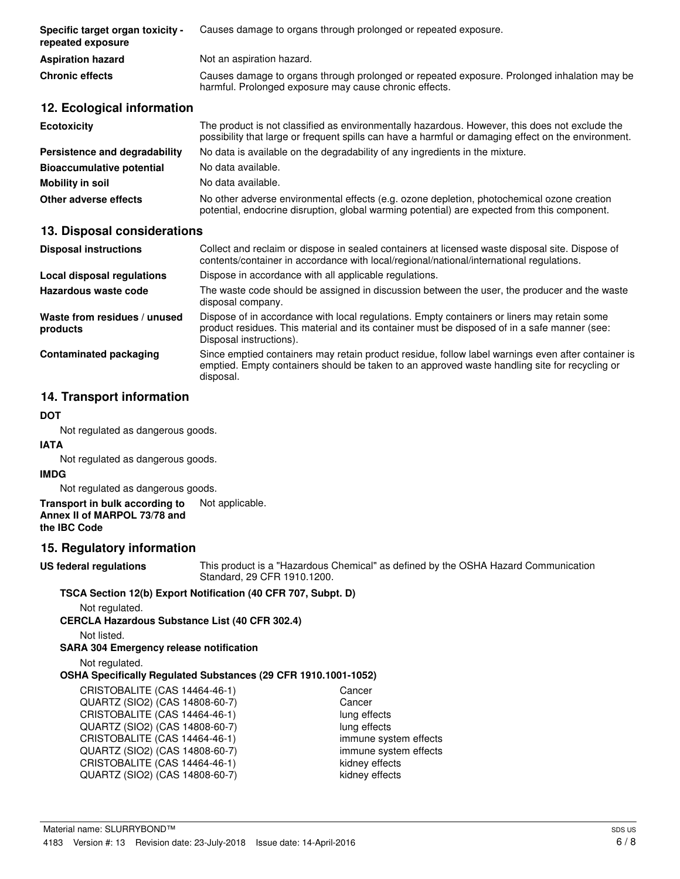| Specific target organ toxicity -<br>repeated exposure | Causes damage to organs through prolonged or repeated exposure.                                                                                                                                       |
|-------------------------------------------------------|-------------------------------------------------------------------------------------------------------------------------------------------------------------------------------------------------------|
| <b>Aspiration hazard</b>                              | Not an aspiration hazard.                                                                                                                                                                             |
| <b>Chronic effects</b>                                | Causes damage to organs through prolonged or repeated exposure. Prolonged inhalation may be<br>harmful. Prolonged exposure may cause chronic effects.                                                 |
| 12. Ecological information                            |                                                                                                                                                                                                       |
| <b>Ecotoxicity</b>                                    | The product is not classified as environmentally hazardous. However, this does not exclude the<br>possibility that large or frequent spills can have a harmful or damaging effect on the environment. |
| Persistence and degradability                         | No data is available on the degradability of any ingredients in the mixture.                                                                                                                          |
| <b>Bioaccumulative potential</b>                      | No data available.                                                                                                                                                                                    |

**Mobility in soil** No data available.

**Other adverse effects** No other adverse environmental effects (e.g. ozone depletion, photochemical ozone creation potential, endocrine disruption, global warming potential) are expected from this component.

# **13. Disposal considerations**

| <b>Disposal instructions</b>             | Collect and reclaim or dispose in sealed containers at licensed waste disposal site. Dispose of<br>contents/container in accordance with local/regional/national/international regulations.                            |
|------------------------------------------|------------------------------------------------------------------------------------------------------------------------------------------------------------------------------------------------------------------------|
| Local disposal regulations               | Dispose in accordance with all applicable regulations.                                                                                                                                                                 |
| Hazardous waste code                     | The waste code should be assigned in discussion between the user, the producer and the waste<br>disposal company.                                                                                                      |
| Waste from residues / unused<br>products | Dispose of in accordance with local regulations. Empty containers or liners may retain some<br>product residues. This material and its container must be disposed of in a safe manner (see:<br>Disposal instructions). |
| Contaminated packaging                   | Since emptied containers may retain product residue, follow label warnings even after container is<br>emptied. Empty containers should be taken to an approved waste handling site for recycling or<br>disposal.       |

# **14. Transport information**

# **DOT**

Not regulated as dangerous goods.

### **IATA**

Not regulated as dangerous goods.

# **IMDG**

Not regulated as dangerous goods.

#### **Transport in bulk according to** Not applicable. **Annex II of MARPOL 73/78 and the IBC Code**

# **15. Regulatory information**

**US federal regulations**

This product is a "Hazardous Chemical" as defined by the OSHA Hazard Communication Standard, 29 CFR 1910.1200.

# **TSCA Section 12(b) Export Notification (40 CFR 707, Subpt. D)**

Not regulated.

**CERCLA Hazardous Substance List (40 CFR 302.4)**

Not listed.

# **SARA 304 Emergency release notification**

Not regulated.

# **OSHA Specifically Regulated Substances (29 CFR 1910.1001-1052)**

CRISTOBALITE (CAS 14464-46-1) Cancer QUARTZ (SIO2) (CAS 14808-60-7) Cancer CRISTOBALITE (CAS 14464-46-1) lung effects QUARTZ (SIO2) (CAS 14808-60-7) lung effects CRISTOBALITE (CAS 14464-46-1) immune system effects QUARTZ (SIO2) (CAS 14808-60-7) immune system effects<br>CRISTOBALITE (CAS 14464-46-1) in the kidney effects CRISTOBALITE (CAS 14464-46-1) QUARTZ (SIO2) (CAS 14808-60-7) kidney effects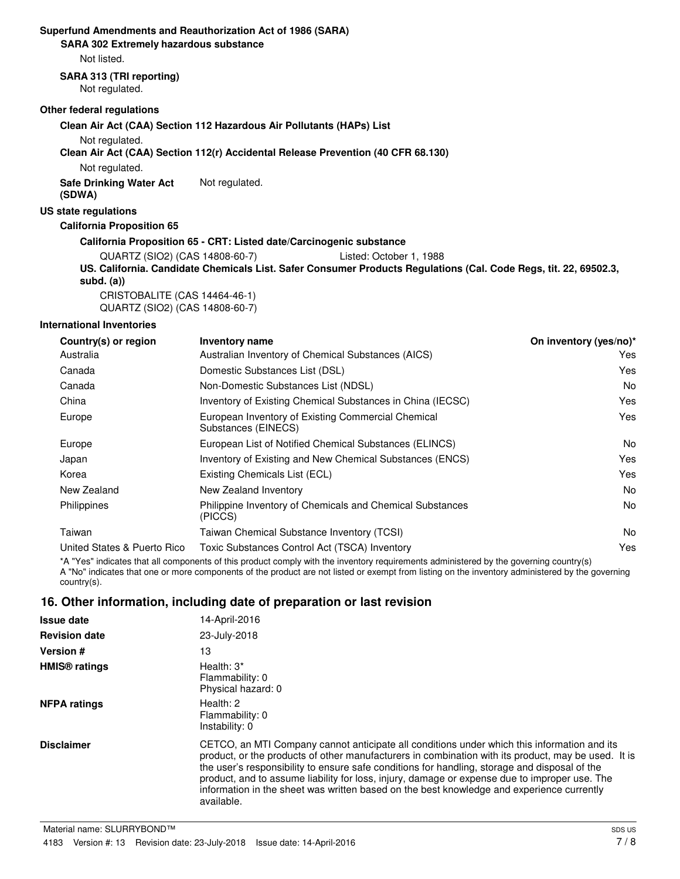# **Superfund Amendments and Reauthorization Act of 1986 (SARA)**

**SARA 302 Extremely hazardous substance**

Not listed.

### **SARA 313 (TRI reporting)**

Not regulated.

# **Other federal regulations**

**Clean Air Act (CAA) Section 112 Hazardous Air Pollutants (HAPs) List**

Not regulated.

### **Clean Air Act (CAA) Section 112(r) Accidental Release Prevention (40 CFR 68.130)**

Not regulated.

**Safe Drinking Water Act** Not regulated. **(SDWA)**

### **US state regulations**

**California Proposition 65**

### **California Proposition 65 - CRT: Listed date/Carcinogenic substance**

QUARTZ (SIO2) (CAS 14808-60-7) Listed: October 1, 1988

**US. California. Candidate Chemicals List. Safer Consumer Products Regulations (Cal. Code Regs, tit. 22, 69502.3, subd. (a))** CRISTOBALITE (CAS 14464-46-1)

QUARTZ (SIO2) (CAS 14808-60-7)

# **International Inventories**

| Country(s) or region        | <b>Inventory name</b>                                                     | On inventory (yes/no)* |
|-----------------------------|---------------------------------------------------------------------------|------------------------|
| Australia                   | Australian Inventory of Chemical Substances (AICS)                        | Yes.                   |
| Canada                      | Domestic Substances List (DSL)                                            | Yes                    |
| Canada                      | Non-Domestic Substances List (NDSL)                                       | No.                    |
| China                       | Inventory of Existing Chemical Substances in China (IECSC)                | Yes                    |
| Europe                      | European Inventory of Existing Commercial Chemical<br>Substances (EINECS) | Yes                    |
| Europe                      | European List of Notified Chemical Substances (ELINCS)                    | No.                    |
| Japan                       | Inventory of Existing and New Chemical Substances (ENCS)                  | Yes                    |
| Korea                       | Existing Chemicals List (ECL)                                             | Yes                    |
| New Zealand                 | New Zealand Inventory                                                     | No.                    |
| Philippines                 | Philippine Inventory of Chemicals and Chemical Substances<br>(PICCS)      | No.                    |
| Taiwan                      | Taiwan Chemical Substance Inventory (TCSI)                                | No.                    |
| United States & Puerto Rico | Toxic Substances Control Act (TSCA) Inventory                             | Yes                    |
|                             |                                                                           |                        |

\*A "Yes" indicates that all components of this product comply with the inventory requirements administered by the governing country(s) A "No" indicates that one or more components of the product are not listed or exempt from listing on the inventory administered by the governing country(s).

# **16. Other information, including date of preparation or last revision**

| <b>Issue date</b>               | 14-April-2016                                                                                                                                                                                                                                                                                                                                                                                                                                                                                                   |
|---------------------------------|-----------------------------------------------------------------------------------------------------------------------------------------------------------------------------------------------------------------------------------------------------------------------------------------------------------------------------------------------------------------------------------------------------------------------------------------------------------------------------------------------------------------|
| <b>Revision date</b>            | 23-July-2018                                                                                                                                                                                                                                                                                                                                                                                                                                                                                                    |
| Version #                       | 13                                                                                                                                                                                                                                                                                                                                                                                                                                                                                                              |
| <b>HMIS<sup>®</sup></b> ratings | Health: $3^*$<br>Flammability: 0<br>Physical hazard: 0                                                                                                                                                                                                                                                                                                                                                                                                                                                          |
| <b>NFPA ratings</b>             | Health: $2$<br>Flammability: 0<br>Instability: 0                                                                                                                                                                                                                                                                                                                                                                                                                                                                |
| <b>Disclaimer</b>               | CETCO, an MTI Company cannot anticipate all conditions under which this information and its<br>product, or the products of other manufacturers in combination with its product, may be used. It is<br>the user's responsibility to ensure safe conditions for handling, storage and disposal of the<br>product, and to assume liability for loss, injury, damage or expense due to improper use. The<br>information in the sheet was written based on the best knowledge and experience currently<br>available. |